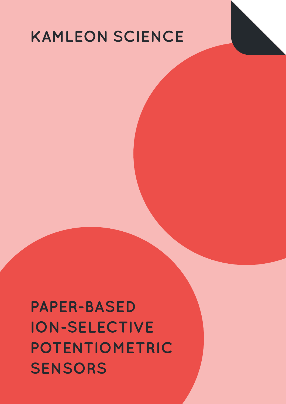## **KAMLEON SCIENCE**

**PAPER-BASED ION-SELECTIVE POTENTIOMETRIC SENSORS**